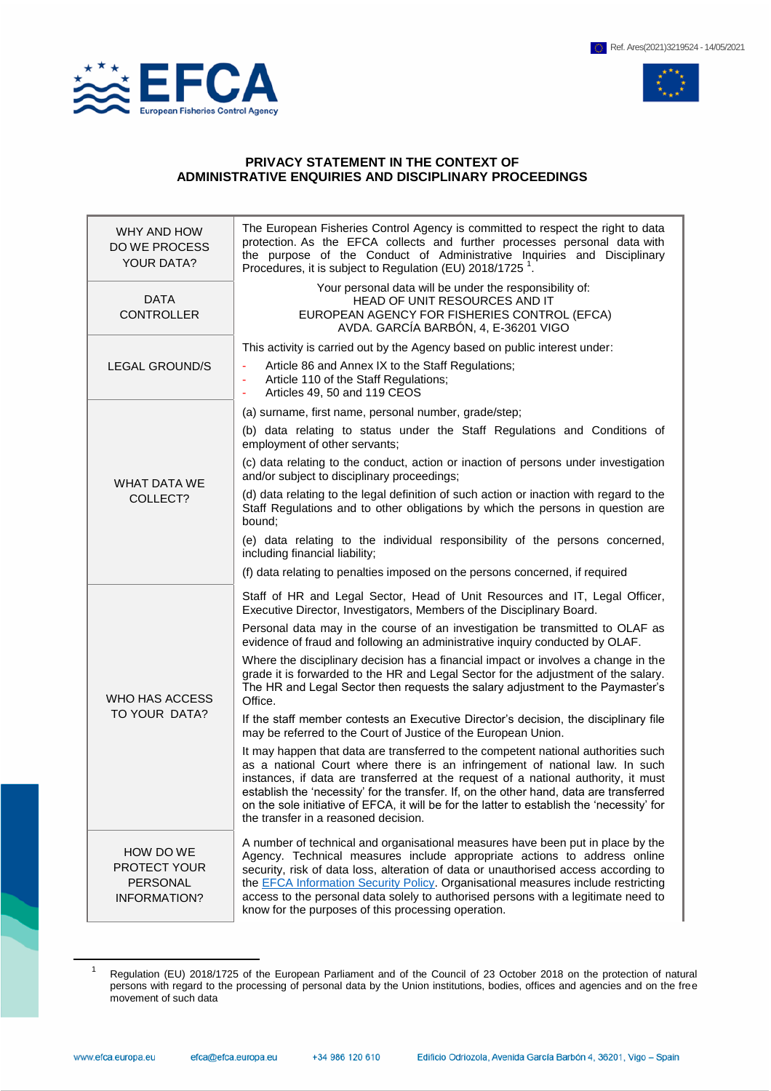

 $\overline{a}$ 



## **PRIVACY STATEMENT IN THE CONTEXT OF ADMINISTRATIVE ENQUIRIES AND DISCIPLINARY PROCEEDINGS**

| WHY AND HOW<br>DO WE PROCESS<br>YOUR DATA?                   | The European Fisheries Control Agency is committed to respect the right to data<br>protection. As the EFCA collects and further processes personal data with<br>the purpose of the Conduct of Administrative Inquiries and Disciplinary<br>Procedures, it is subject to Regulation (EU) 2018/1725 <sup>1</sup> .                                                                                                                                                                         |
|--------------------------------------------------------------|------------------------------------------------------------------------------------------------------------------------------------------------------------------------------------------------------------------------------------------------------------------------------------------------------------------------------------------------------------------------------------------------------------------------------------------------------------------------------------------|
| <b>DATA</b><br><b>CONTROLLER</b>                             | Your personal data will be under the responsibility of:<br>HEAD OF UNIT RESOURCES AND IT<br>EUROPEAN AGENCY FOR FISHERIES CONTROL (EFCA)<br>AVDA. GARCÍA BARBÓN, 4, E-36201 VIGO                                                                                                                                                                                                                                                                                                         |
| <b>LEGAL GROUND/S</b>                                        | This activity is carried out by the Agency based on public interest under:                                                                                                                                                                                                                                                                                                                                                                                                               |
|                                                              | Article 86 and Annex IX to the Staff Regulations;<br>Article 110 of the Staff Regulations;<br>$\blacksquare$<br>Articles 49, 50 and 119 CEOS<br>٠                                                                                                                                                                                                                                                                                                                                        |
| <b>WHAT DATA WE</b><br>COLLECT?                              | (a) surname, first name, personal number, grade/step;                                                                                                                                                                                                                                                                                                                                                                                                                                    |
|                                                              | (b) data relating to status under the Staff Regulations and Conditions of<br>employment of other servants;                                                                                                                                                                                                                                                                                                                                                                               |
|                                                              | (c) data relating to the conduct, action or inaction of persons under investigation<br>and/or subject to disciplinary proceedings;                                                                                                                                                                                                                                                                                                                                                       |
|                                                              | (d) data relating to the legal definition of such action or inaction with regard to the<br>Staff Regulations and to other obligations by which the persons in question are<br>bound:                                                                                                                                                                                                                                                                                                     |
|                                                              | (e) data relating to the individual responsibility of the persons concerned,<br>including financial liability;                                                                                                                                                                                                                                                                                                                                                                           |
|                                                              | (f) data relating to penalties imposed on the persons concerned, if required                                                                                                                                                                                                                                                                                                                                                                                                             |
| WHO HAS ACCESS<br>TO YOUR DATA?                              | Staff of HR and Legal Sector, Head of Unit Resources and IT, Legal Officer,<br>Executive Director, Investigators, Members of the Disciplinary Board.                                                                                                                                                                                                                                                                                                                                     |
|                                                              | Personal data may in the course of an investigation be transmitted to OLAF as<br>evidence of fraud and following an administrative inquiry conducted by OLAF.                                                                                                                                                                                                                                                                                                                            |
|                                                              | Where the disciplinary decision has a financial impact or involves a change in the<br>grade it is forwarded to the HR and Legal Sector for the adjustment of the salary.<br>The HR and Legal Sector then requests the salary adjustment to the Paymaster's<br>Office.                                                                                                                                                                                                                    |
|                                                              | If the staff member contests an Executive Director's decision, the disciplinary file<br>may be referred to the Court of Justice of the European Union.                                                                                                                                                                                                                                                                                                                                   |
|                                                              | It may happen that data are transferred to the competent national authorities such<br>as a national Court where there is an infringement of national law. In such<br>instances, if data are transferred at the request of a national authority, it must<br>establish the 'necessity' for the transfer. If, on the other hand, data are transferred<br>on the sole initiative of EFCA, it will be for the latter to establish the 'necessity' for<br>the transfer in a reasoned decision. |
| HOW DO WE<br>PROTECT YOUR<br><b>PERSONAL</b><br>INFORMATION? | A number of technical and organisational measures have been put in place by the<br>Agency. Technical measures include appropriate actions to address online<br>security, risk of data loss, alteration of data or unauthorised access according to<br>the EFCA Information Security Policy. Organisational measures include restricting<br>access to the personal data solely to authorised persons with a legitimate need to<br>know for the purposes of this processing operation.     |

<sup>1</sup> Regulation (EU) 2018/1725 of the European Parliament and of the Council of 23 October 2018 on the protection of natural persons with regard to the processing of personal data by the Union institutions, bodies, offices and agencies and on the free movement of such data